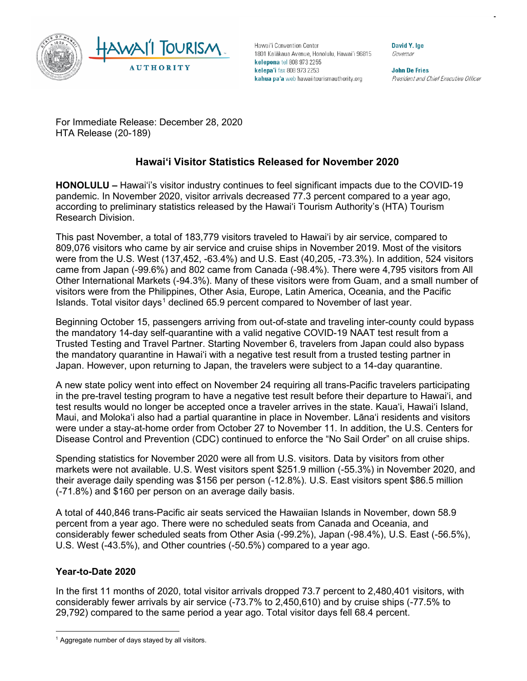

Hawai'i Convention Center 1801 Kalākaua Avenue, Honolulu, Hawai'i 96815 kelepona tel 808 973 2255 kelepa'i fax 808 973 2253 kahua pa'a web hawaiitourismauthority.org

David Y. Ige Governor

**John De Fries** President and Chief Executive Officer

For Immediate Release: December 28, 2020 HTA Release (20-189)

# **Hawai'i Visitor Statistics Released for November 2020**

**HONOLULU –** Hawai'i's visitor industry continues to feel significant impacts due to the COVID-19 pandemic. In November 2020, visitor arrivals decreased 77.3 percent compared to a year ago, according to preliminary statistics released by the Hawai'i Tourism Authority's (HTA) Tourism Research Division.

This past November, a total of 183,779 visitors traveled to Hawai'i by air service, compared to 809,076 visitors who came by air service and cruise ships in November 2019. Most of the visitors were from the U.S. West (137,452, -63.4%) and U.S. East (40,205, -73.3%). In addition, 524 visitors came from Japan (-99.6%) and 802 came from Canada (-98.4%). There were 4,795 visitors from All Other International Markets (-94.3%). Many of these visitors were from Guam, and a small number of visitors were from the Philippines, Other Asia, Europe, Latin America, Oceania, and the Pacific Islands. Total visitor days<sup>[1](#page-0-0)</sup> declined 65.9 percent compared to November of last year.

Beginning October 15, passengers arriving from out-of-state and traveling inter-county could bypass the mandatory 14-day self-quarantine with a valid negative COVID-19 NAAT test result from a Trusted Testing and Travel Partner. Starting November 6, travelers from Japan could also bypass the mandatory quarantine in Hawai'i with a negative test result from a trusted testing partner in Japan. However, upon returning to Japan, the travelers were subject to a 14-day quarantine.

A new state policy went into effect on November 24 requiring all trans-Pacific travelers participating in the pre-travel testing program to have a negative test result before their departure to Hawai'i, and test results would no longer be accepted once a traveler arrives in the state. Kaua'i, Hawai'i Island, Maui, and Moloka'i also had a partial quarantine in place in November. Lāna'i residents and visitors were under a stay-at-home order from October 27 to November 11. In addition, the U.S. Centers for Disease Control and Prevention (CDC) continued to enforce the "No Sail Order" on all cruise ships.

Spending statistics for November 2020 were all from U.S. visitors. Data by visitors from other markets were not available. U.S. West visitors spent \$251.9 million (-55.3%) in November 2020, and their average daily spending was \$156 per person (-12.8%). U.S. East visitors spent \$86.5 million (-71.8%) and \$160 per person on an average daily basis.

A total of 440,846 trans-Pacific air seats serviced the Hawaiian Islands in November, down 58.9 percent from a year ago. There were no scheduled seats from Canada and Oceania, and considerably fewer scheduled seats from Other Asia (-99.2%), Japan (-98.4%), U.S. East (-56.5%), U.S. West (-43.5%), and Other countries (-50.5%) compared to a year ago.

## **Year-to-Date 2020**

In the first 11 months of 2020, total visitor arrivals dropped 73.7 percent to 2,480,401 visitors, with considerably fewer arrivals by air service (-73.7% to 2,450,610) and by cruise ships (-77.5% to 29,792) compared to the same period a year ago. Total visitor days fell 68.4 percent.

<span id="page-0-0"></span> $1$  Aggregate number of days stayed by all visitors.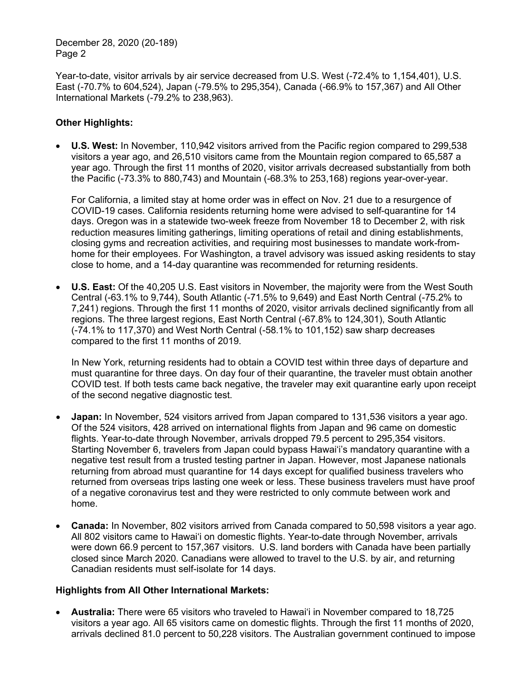Year-to-date, visitor arrivals by air service decreased from U.S. West (-72.4% to 1,154,401), U.S. East (-70.7% to 604,524), Japan (-79.5% to 295,354), Canada (-66.9% to 157,367) and All Other International Markets (-79.2% to 238,963).

#### **Other Highlights:**

• **U.S. West:** In November, 110,942 visitors arrived from the Pacific region compared to 299,538 visitors a year ago, and 26,510 visitors came from the Mountain region compared to 65,587 a year ago. Through the first 11 months of 2020, visitor arrivals decreased substantially from both the Pacific (-73.3% to 880,743) and Mountain (-68.3% to 253,168) regions year-over-year.

For California, a limited stay at home order was in effect on Nov. 21 due to a resurgence of COVID-19 cases. California residents returning home were advised to self-quarantine for 14 days. Oregon was in a statewide two-week freeze from November 18 to December 2, with risk reduction measures limiting gatherings, limiting operations of retail and dining establishments, closing gyms and recreation activities, and requiring most businesses to mandate work-fromhome for their employees. For Washington, a travel advisory was issued asking residents to stay close to home, and a 14-day quarantine was recommended for returning residents.

• **U.S. East:** Of the 40,205 U.S. East visitors in November, the majority were from the West South Central (-63.1% to 9,744), South Atlantic (-71.5% to 9,649) and East North Central (-75.2% to 7,241) regions. Through the first 11 months of 2020, visitor arrivals declined significantly from all regions. The three largest regions, East North Central (-67.8% to 124,301), South Atlantic (-74.1% to 117,370) and West North Central (-58.1% to 101,152) saw sharp decreases compared to the first 11 months of 2019.

In New York, returning residents had to obtain a COVID test within three days of departure and must quarantine for three days. On day four of their quarantine, the traveler must obtain another COVID test. If both tests came back negative, the traveler may exit quarantine early upon receipt of the second negative diagnostic test.

- **Japan:** In November, 524 visitors arrived from Japan compared to 131,536 visitors a year ago. Of the 524 visitors, 428 arrived on international flights from Japan and 96 came on domestic flights. Year-to-date through November, arrivals dropped 79.5 percent to 295,354 visitors. Starting November 6, travelers from Japan could bypass Hawai'i's mandatory quarantine with a negative test result from a trusted testing partner in Japan. However, most Japanese nationals returning from abroad must quarantine for 14 days except for qualified business travelers who returned from overseas trips lasting one week or less. These business travelers must have proof of a negative coronavirus test and they were restricted to only commute between work and home.
- **Canada:** In November, 802 visitors arrived from Canada compared to 50,598 visitors a year ago. All 802 visitors came to Hawai'i on domestic flights. Year-to-date through November, arrivals were down 66.9 percent to 157,367 visitors. U.S. land borders with Canada have been partially closed since March 2020. Canadians were allowed to travel to the U.S. by air, and returning Canadian residents must self-isolate for 14 days.

#### **Highlights from All Other International Markets:**

• **Australia:** There were 65 visitors who traveled to Hawai'i in November compared to 18,725 visitors a year ago. All 65 visitors came on domestic flights. Through the first 11 months of 2020, arrivals declined 81.0 percent to 50,228 visitors. The Australian government continued to impose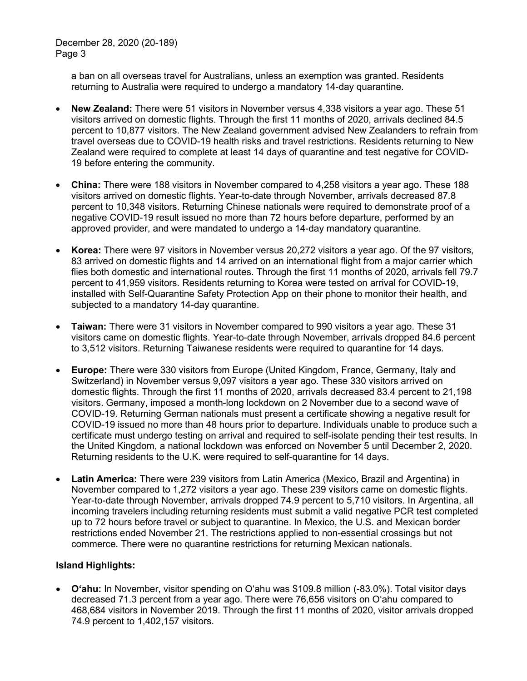a ban on all overseas travel for Australians, unless an exemption was granted. Residents returning to Australia were required to undergo a mandatory 14-day quarantine.

- **New Zealand:** There were 51 visitors in November versus 4,338 visitors a year ago. These 51 visitors arrived on domestic flights. Through the first 11 months of 2020, arrivals declined 84.5 percent to 10,877 visitors. The New Zealand government advised New Zealanders to refrain from travel overseas due to COVID-19 health risks and travel restrictions. Residents returning to New Zealand were required to complete at least 14 days of quarantine and test negative for COVID-19 before entering the community.
- **China:** There were 188 visitors in November compared to 4,258 visitors a year ago. These 188 visitors arrived on domestic flights. Year-to-date through November, arrivals decreased 87.8 percent to 10,348 visitors. Returning Chinese nationals were required to demonstrate proof of a negative COVID-19 result issued no more than 72 hours before departure, performed by an approved provider, and were mandated to undergo a 14-day mandatory quarantine.
- **Korea:** There were 97 visitors in November versus 20,272 visitors a year ago. Of the 97 visitors, 83 arrived on domestic flights and 14 arrived on an international flight from a major carrier which flies both domestic and international routes. Through the first 11 months of 2020, arrivals fell 79.7 percent to 41,959 visitors. Residents returning to Korea were tested on arrival for COVID-19, installed with Self-Quarantine Safety Protection App on their phone to monitor their health, and subjected to a mandatory 14-day quarantine.
- **Taiwan:** There were 31 visitors in November compared to 990 visitors a year ago. These 31 visitors came on domestic flights. Year-to-date through November, arrivals dropped 84.6 percent to 3,512 visitors. Returning Taiwanese residents were required to quarantine for 14 days.
- **Europe:** There were 330 visitors from Europe (United Kingdom, France, Germany, Italy and Switzerland) in November versus 9,097 visitors a year ago. These 330 visitors arrived on domestic flights. Through the first 11 months of 2020, arrivals decreased 83.4 percent to 21,198 visitors. Germany, imposed a month-long lockdown on 2 November due to a second wave of COVID-19. Returning German nationals must present a certificate showing a negative result for COVID-19 issued no more than 48 hours prior to departure. Individuals unable to produce such a certificate must undergo testing on arrival and required to self-isolate pending their test results. In the United Kingdom, a national lockdown was enforced on November 5 until December 2, 2020. Returning residents to the U.K. were required to self-quarantine for 14 days.
- **Latin America:** There were 239 visitors from Latin America (Mexico, Brazil and Argentina) in November compared to 1,272 visitors a year ago. These 239 visitors came on domestic flights. Year-to-date through November, arrivals dropped 74.9 percent to 5,710 visitors. In Argentina, all incoming travelers including returning residents must submit a valid [negative PCR test](https://www.boletinoficial.gob.ar/detalleAviso/primera/237995/20201202) completed up to 72 hours before travel or subject to quarantine. In Mexico, the U.S. and Mexican border restrictions ended November 21. The restrictions applied to non-essential crossings but not commerce. There were no quarantine restrictions for returning Mexican nationals.

## **Island Highlights:**

• **O'ahu:** In November, visitor spending on O'ahu was \$109.8 million (-83.0%). Total visitor days decreased 71.3 percent from a year ago. There were 76,656 visitors on O'ahu compared to 468,684 visitors in November 2019. Through the first 11 months of 2020, visitor arrivals dropped 74.9 percent to 1,402,157 visitors.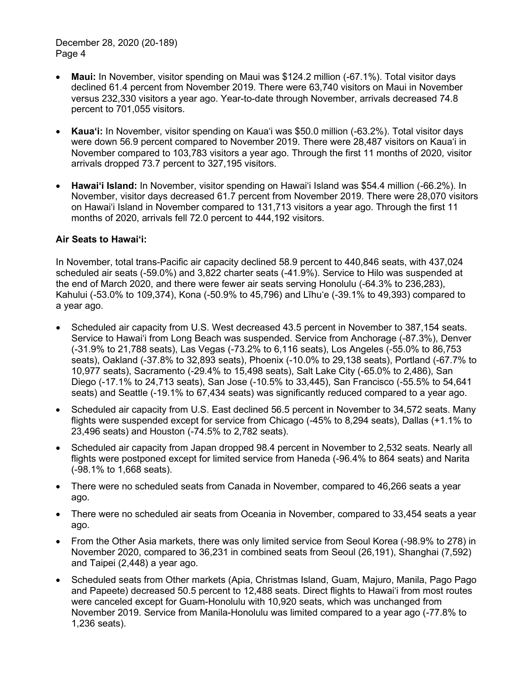- **Maui:** In November, visitor spending on Maui was \$124.2 million (-67.1%). Total visitor days declined 61.4 percent from November 2019. There were 63,740 visitors on Maui in November versus 232,330 visitors a year ago. Year-to-date through November, arrivals decreased 74.8 percent to 701,055 visitors.
- **Kaua'i:** In November, visitor spending on Kaua'i was \$50.0 million (-63.2%). Total visitor days were down 56.9 percent compared to November 2019. There were 28,487 visitors on Kaua'i in November compared to 103,783 visitors a year ago. Through the first 11 months of 2020, visitor arrivals dropped 73.7 percent to 327,195 visitors.
- **Hawai'i Island:** In November, visitor spending on Hawai'i Island was \$54.4 million (-66.2%). In November, visitor days decreased 61.7 percent from November 2019. There were 28,070 visitors on Hawai'i Island in November compared to 131,713 visitors a year ago. Through the first 11 months of 2020, arrivals fell 72.0 percent to 444,192 visitors.

#### **Air Seats to Hawai'i:**

In November, total trans-Pacific air capacity declined 58.9 percent to 440,846 seats, with 437,024 scheduled air seats (-59.0%) and 3,822 charter seats (-41.9%). Service to Hilo was suspended at the end of March 2020, and there were fewer air seats serving Honolulu (-64.3% to 236,283), Kahului (-53.0% to 109,374), Kona (-50.9% to 45,796) and Līhu'e (-39.1% to 49,393) compared to a year ago.

- Scheduled air capacity from U.S. West decreased 43.5 percent in November to 387,154 seats. Service to Hawai'i from Long Beach was suspended. Service from Anchorage (-87.3%), Denver (-31.9% to 21,788 seats), Las Vegas (-73.2% to 6,116 seats), Los Angeles (-55.0% to 86,753 seats), Oakland (-37.8% to 32,893 seats), Phoenix (-10.0% to 29,138 seats), Portland (-67.7% to 10,977 seats), Sacramento (-29.4% to 15,498 seats), Salt Lake City (-65.0% to 2,486), San Diego (-17.1% to 24,713 seats), San Jose (-10.5% to 33,445), San Francisco (-55.5% to 54,641 seats) and Seattle (-19.1% to 67,434 seats) was significantly reduced compared to a year ago.
- Scheduled air capacity from U.S. East declined 56.5 percent in November to 34,572 seats. Many flights were suspended except for service from Chicago (-45% to 8,294 seats), Dallas (+1.1% to 23,496 seats) and Houston (-74.5% to 2,782 seats).
- Scheduled air capacity from Japan dropped 98.4 percent in November to 2,532 seats. Nearly all flights were postponed except for limited service from Haneda (-96.4% to 864 seats) and Narita (-98.1% to 1,668 seats).
- There were no scheduled seats from Canada in November, compared to 46,266 seats a year ago.
- There were no scheduled air seats from Oceania in November, compared to 33,454 seats a year ago.
- From the Other Asia markets, there was only limited service from Seoul Korea (-98.9% to 278) in November 2020, compared to 36,231 in combined seats from Seoul (26,191), Shanghai (7,592) and Taipei (2,448) a year ago.
- Scheduled seats from Other markets (Apia, Christmas Island, Guam, Majuro, Manila, Pago Pago and Papeete) decreased 50.5 percent to 12,488 seats. Direct flights to Hawai'i from most routes were canceled except for Guam-Honolulu with 10,920 seats, which was unchanged from November 2019. Service from Manila-Honolulu was limited compared to a year ago (-77.8% to 1,236 seats).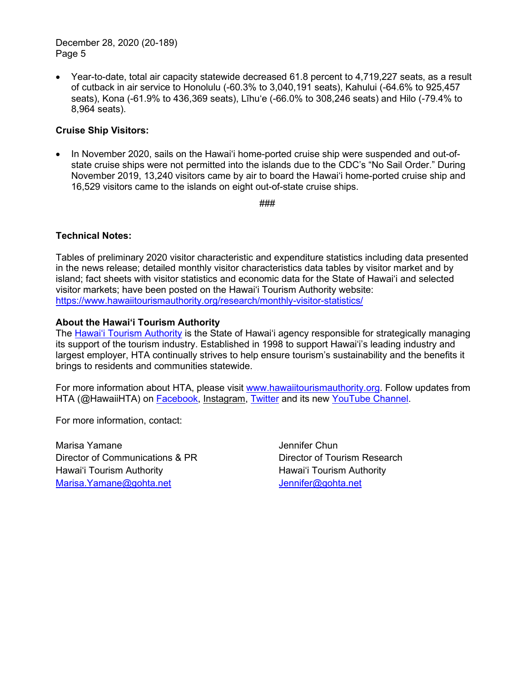• Year-to-date, total air capacity statewide decreased 61.8 percent to 4.719.227 seats, as a result of cutback in air service to Honolulu (-60.3% to 3,040,191 seats), Kahului (-64.6% to 925,457 seats), Kona (-61.9% to 436,369 seats), Līhu'e (-66.0% to 308,246 seats) and Hilo (-79.4% to 8,964 seats).

#### **Cruise Ship Visitors:**

• In November 2020, sails on the Hawai'i home-ported cruise ship were suspended and out-ofstate cruise ships were not permitted into the islands due to the CDC's "No Sail Order." During November 2019, 13,240 visitors came by air to board the Hawai'i home-ported cruise ship and 16,529 visitors came to the islands on eight out-of-state cruise ships.

###

#### **Technical Notes:**

Tables of preliminary 2020 visitor characteristic and expenditure statistics including data presented in the news release; detailed monthly visitor characteristics data tables by visitor market and by island; fact sheets with visitor statistics and economic data for the State of Hawai'i and selected visitor markets; have been posted on the Hawai'i Tourism Authority website: <https://www.hawaiitourismauthority.org/research/monthly-visitor-statistics/>

#### **About the Hawai'i Tourism Authority**

The [Hawai'i Tourism Authority](http://www.hawaiitourismauthority.org/) is the State of Hawai'i agency responsible for strategically managing its support of the tourism industry. Established in 1998 to support Hawai'i's leading industry and largest employer, HTA continually strives to help ensure tourism's sustainability and the benefits it brings to residents and communities statewide.

For more information about HTA, please visit [www.hawaiitourismauthority.org.](http://www.hawaiitourismauthority.org/) Follow updates from HTA (@HawaiiHTA) on [Facebook,](http://www.facebook.com/HawaiiHTA) [Instagram,](https://www.instagram.com/hawaiihta/) [Twitter](http://twitter.com/HawaiiHTA) and its new [YouTube Channel.](https://www.youtube.com/channel/UC2wGcMQoCmGhTy-L7rBN0_w?view_as=subscriber)

For more information, contact:

Marisa Yamane Director of Communications & PR Hawai'i Tourism Authority [Marisa.Yamane@gohta.net](mailto:Marisa.Yamane@gohta.net)

Jennifer Chun Director of Tourism Research Hawai'i Tourism Authority [Jennifer@gohta.net](mailto:Jennifer@gohta.net)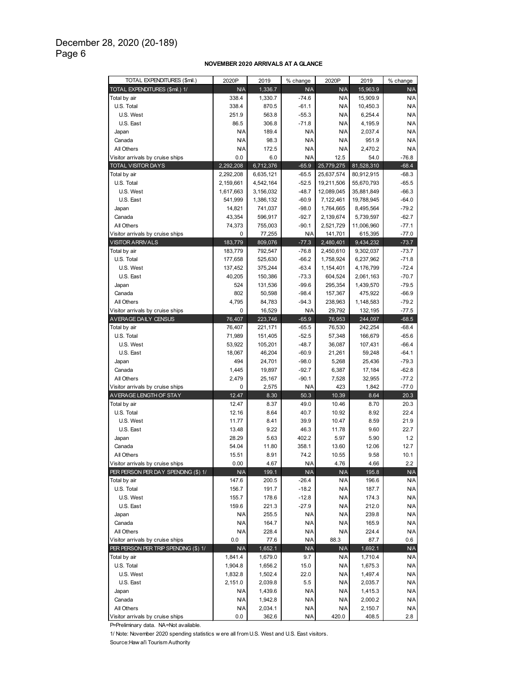#### **NOVEMBER 2020 ARRIVALS AT A GLANCE**

| TOTAL EXPENDITURES (\$mil.)          | 2020P      | 2019      | % change   | 2020P      | 2019       | % change   |
|--------------------------------------|------------|-----------|------------|------------|------------|------------|
| TOTAL EXPENDITURES (\$mil.) 1/       | N/A        | 1,336.7   | <b>N/A</b> | <b>N/A</b> | 15,963.9   | N/A        |
| Total by air                         | 338.4      | 1,330.7   | $-74.6$    | N/A        | 15,909.9   | N/A        |
| U.S. Total                           | 338.4      | 870.5     | $-61.1$    | <b>N/A</b> | 10,450.3   | N/A        |
| U.S. West                            | 251.9      | 563.8     | $-55.3$    | <b>N/A</b> | 6,254.4    | N/A        |
| U.S. East                            | 86.5       | 306.8     | $-71.8$    | <b>N/A</b> | 4,195.9    | N/A        |
| Japan                                | N/A        | 189.4     | N/A        | <b>N/A</b> | 2,037.4    | N/A        |
| Canada                               | N/A        | 98.3      | N/A        | <b>N/A</b> | 951.9      | N/A        |
| All Others                           | N/A        | 172.5     | N/A        | <b>N/A</b> | 2,470.2    | N/A        |
| Visitor arrivals by cruise ships     | 0.0        | 6.0       | N/A        | 12.5       | 54.0       | $-76.8$    |
| <b>TOTAL VISITOR DAYS</b>            | 2,292,208  | 6,712,376 | $-65.9$    | 25,779,275 | 81,528,310 | $-68.4$    |
| Total by air                         | 2,292,208  | 6,635,121 | $-65.5$    | 25,637,574 | 80,912,915 | $-68.3$    |
| U.S. Total                           | 2,159,661  | 4,542,164 | $-52.5$    | 19,211,506 | 55,670,793 | $-65.5$    |
| U.S. West                            | 1,617,663  | 3,156,032 | $-48.7$    | 12,089,045 | 35,881,849 | $-66.3$    |
| U.S. East                            | 541,999    | 1,386,132 | $-60.9$    | 7,122,461  | 19,788,945 | $-64.0$    |
| Japan                                | 14,821     | 741,037   | $-98.0$    | 1,764,665  | 8,495,564  | $-79.2$    |
| Canada                               | 43,354     | 596,917   | $-92.7$    | 2,139,674  | 5,739,597  | $-62.7$    |
| All Others                           | 74,373     | 755,003   | $-90.1$    | 2,521,729  | 11,006,960 | $-77.1$    |
| Visitor arrivals by cruise ships     | 0          | 77,255    | N/A        | 141,701    | 615,395    | $-77.0$    |
| <b>VISITOR ARRIVALS</b>              | 183,779    | 809,076   | $-77.3$    | 2,480,401  | 9,434,232  | $-73.7$    |
| Total by air                         | 183,779    | 792,547   | $-76.8$    | 2,450,610  | 9,302,037  | $-73.7$    |
| U.S. Total                           | 177,658    | 525,630   | $-66.2$    | 1,758,924  | 6,237,962  | $-71.8$    |
| U.S. West                            | 137,452    | 375,244   | $-63.4$    | 1,154,401  | 4,176,799  | $-72.4$    |
| U.S. East                            | 40,205     | 150,386   | $-73.3$    | 604,524    | 2,061,163  | $-70.7$    |
| Japan                                | 524        | 131,536   | $-99.6$    | 295,354    | 1,439,570  | $-79.5$    |
| Canada                               | 802        | 50,598    | $-98.4$    | 157,367    | 475,922    | $-66.9$    |
| All Others                           | 4,795      | 84,783    | $-94.3$    | 238,963    | 1,148,583  | $-79.2$    |
| Visitor arrivals by cruise ships     | 0          | 16,529    | <b>N/A</b> | 29,792     | 132,195    | $-77.5$    |
| AVERAGE DAILY CENSUS                 | 76,407     | 223,746   | $-65.9$    | 76,953     | 244,097    | $-68.5$    |
| Total by air                         | 76,407     | 221,171   | $-65.5$    | 76,530     | 242,254    | $-68.4$    |
| U.S. Total                           | 71,989     | 151,405   | $-52.5$    | 57,348     | 166,679    | $-65.6$    |
| U.S. West                            | 53,922     | 105,201   | $-48.7$    | 36,087     | 107,431    | $-66.4$    |
| U.S. East                            | 18,067     | 46,204    | $-60.9$    | 21,261     | 59,248     | $-64.1$    |
| Japan                                | 494        | 24,701    | $-98.0$    | 5,268      | 25,436     | $-79.3$    |
| Canada                               | 1,445      | 19,897    | $-92.7$    | 6,387      | 17,184     | $-62.8$    |
| All Others                           | 2,479      | 25,167    | $-90.1$    | 7,528      | 32,955     | $-77.2$    |
| Visitor arrivals by cruise ships     | 0          | 2,575     | <b>N/A</b> | 423        | 1,842      | $-77.0$    |
| AVERAGE LENGTH OF STAY               | 12.47      | 8.30      | 50.3       | 10.39      | 8.64       | 20.3       |
| Total by air                         | 12.47      | 8.37      | 49.0       | 10.46      | 8.70       | 20.3       |
| U.S. Total                           | 12.16      | 8.64      | 40.7       | 10.92      | 8.92       | 22.4       |
| U.S. West                            | 11.77      | 8.41      | 39.9       | 10.47      | 8.59       | 21.9       |
| U.S. East                            | 13.48      | 9.22      | 46.3       | 11.78      | 9.60       | 22.7       |
| Japan                                | 28.29      | 5.63      | 402.2      | 5.97       | 5.90       | 1.2        |
| Canada                               | 54.04      | 11.80     | 358.1      | 13.60      | 12.06      | 12.7       |
| All Others                           | 15.51      | 8.91      | 74.2       | 10.55      | 9.58       | 10.1       |
| Visitor arrivals by cruise ships     | 0.00       | 4.67      | <b>N/A</b> | 4.76       | 4.66       | $2.2\,$    |
| PER PERSON PER DAY SPENDING (\$) 1/  | N/A        | 199.1     | N/A        | <b>N/A</b> | 195.8      | N/A        |
| Total by air                         | 147.6      | 200.5     | $-26.4$    | <b>N/A</b> | 196.6      | N/A        |
| U.S. Total                           | 156.7      | 191.7     | $-18.2$    | <b>N/A</b> | 187.7      | N/A        |
| U.S. West                            | 155.7      | 178.6     | $-12.8$    | <b>N/A</b> | 174.3      | N/A        |
| U.S. East                            | 159.6      | 221.3     | $-27.9$    | <b>N/A</b> | 212.0      | N/A        |
| Japan                                | <b>N/A</b> | 255.5     | N/A        | <b>N/A</b> | 239.8      | N/A        |
| Canada                               | <b>N/A</b> | 164.7     | N/A        | <b>N/A</b> | 165.9      | N/A        |
| All Others                           | <b>N/A</b> | 228.4     | N/A        | <b>N/A</b> | 224.4      | <b>N/A</b> |
| Visitor arrivals by cruise ships     | 0.0        | 77.6      | N/A        | 88.3       | 87.7       | 0.6        |
| PER PERSON PER TRIP SPENDING (\$) 1/ | N/A        | 1,652.1   | <b>N/A</b> | <b>N/A</b> | 1,692.1    | N/A        |
| Total by air                         | 1,841.4    | 1,679.0   | 9.7        | <b>N/A</b> | 1,710.4    | N/A        |
| U.S. Total                           | 1,904.8    | 1,656.2   | 15.0       | <b>N/A</b> | 1,675.3    | N/A        |
| U.S. West                            | 1,832.8    | 1,502.4   | 22.0       | <b>N/A</b> | 1,497.4    | N/A        |
| U.S. East                            | 2,151.0    | 2,039.8   | 5.5        | <b>N/A</b> | 2,035.7    | N/A        |
| Japan                                | N/A        | 1,439.6   | N/A        | <b>N/A</b> | 1,415.3    | N/A        |
| Canada                               | N/A        | 1,942.8   | N/A        | <b>N/A</b> | 2,000.2    | N/A        |
| All Others                           | N/A        | 2,034.1   | N/A        | <b>N/A</b> | 2,150.7    | <b>N/A</b> |
| Visitor arrivals by cruise ships     | 0.0        | 362.6     | N/A        | 420.0      | 408.5      | 2.8        |
|                                      |            |           |            |            |            |            |

P=Preliminary data. NA=Not available.

1/ Note: November 2020 spending statistics w ere all from U.S. West and U.S. East visitors.

Source:Haw ai'i Tourism Authority